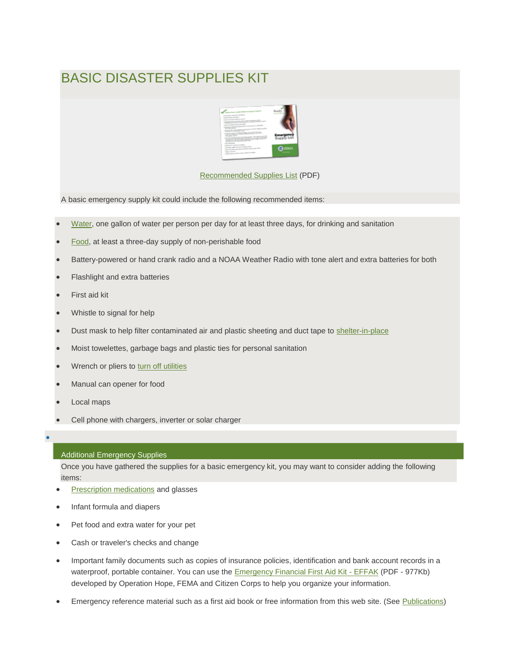## BASIC DISASTER SUPPLIES KIT



[Recommended Supplies List](http://www.fema.gov/media-library/assets/documents/90354) (PDF)

A basic emergency supply kit could include the following recommended items:

- [Water,](http://www.ready.gov/water) one gallon of water per person per day for at least three days, for drinking and sanitation
- [Food,](http://www.ready.gov/food) at least a three-day supply of non-perishable food
- Battery-powered or hand crank radio and a NOAA Weather Radio with tone alert and extra batteries for both
- Flashlight and extra batteries
- First aid kit
- Whistle to signal for help
- Dust mask to help filter contaminated air and plastic sheeting and duct tape to [shelter-in-place](http://www.ready.gov/evacuating-yourself-and-your-family)
- Moist towelettes, garbage bags and plastic ties for personal sanitation
- Wrench or pliers to [turn off utilities](http://www.ready.gov/utility-shut-safety)
- Manual can opener for food
- Local maps
- Cell phone with chargers, inverter or solar charger

## $\bullet$

## [Additional Emergency Supplies](javascript:void(0);)

Once you have gathered the supplies for a basic emergency kit, you may want to consider adding the following items:

- [Prescription medications](http://www.ready.gov/individuals-access-functional-needs) and glasses
- Infant formula and diapers
- Pet food and extra water for your pet
- Cash or traveler's checks and change
- Important family documents such as copies of insurance policies, identification and bank account records in a waterproof, portable container. You can use the [Emergency Financial First Aid Kit -](http://www.fema.gov/media-library/assets/documents/29791) EFFAK (PDF - 977Kb) developed by Operation Hope, FEMA and Citizen Corps to help you organize your information.
- Emergency reference material such as a first aid book or free information from this web site. (See [Publications\)](http://www.ready.gov/publications)